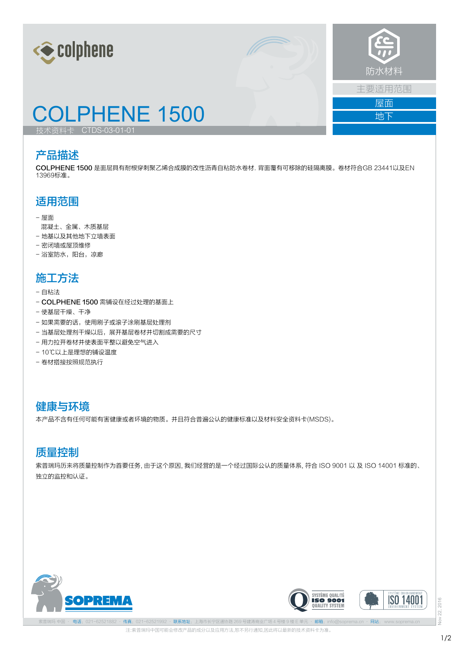



地下

## COLPHENE 1500

技术资料卡 CTDS-03-01-01

### 产品描述

COLPHENE 1500 是面层具有耐根穿刺聚乙烯合成膜的改性沥青自粘防水卷材. 背面覆有可移除的硅隔离膜。卷材符合GB 23441以及EN 13969标准。

### 适用范围

- 屋面
- 混凝土、金属、木质基层
- 地基以及其他地下立墙表面
- 密闭墙或屋顶维修
- 浴室防水, 阳台, 凉廊

### 施工方法

- 自粘法
- COLPHENE 1500 需铺设在经过处理的基面上
- 使基层干燥、干净
- 如果需要的话,使用刷子或滚子涂刷基层处理剂
- 当基层处理剂干燥以后,展开基层卷材并切割成需要的尺寸
- 用力拉开卷材并使表面平整以避免空气进入
- 10℃以上是理想的铺设温度
- 卷材搭接按照规范执行

### 健康与环境

本产品不含有任何可能有害健康或者环境的物质。并且符合普遍公认的健康标准以及材料安全资料卡(MSDS)。

### 质量控制

索普瑞玛历来将质量控制作为首要任务, 由于这个原因, 我们经营的是一个经过国际公认的质量体系, 符合 ISO 9001 以 及 ISO 14001 标准的、 独立的监控和认证。







注:索普瑞玛中国可能会修改产品的成分以及应用方法,恕不另行通知,因此将以最新的技术资料卡为准。 电话: 021-62521882 · 传真: 021-62521992 · 联系地址: 上海市长宁区通协路 269 号建涛商业广场 4 号楼 9 楼 E 单元 · 邮箱: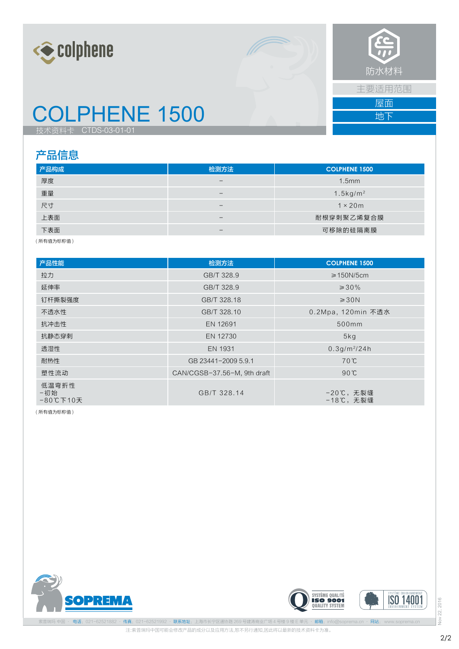



主要适用范围 屋面

地下

# COLPHENE 1500

技术资料卡 CTDS-03-01-01

### 产品信息

| 产品构成 | 检测方法                     | <b>COLPHENE 1500</b>    |
|------|--------------------------|-------------------------|
| 厚度   | $\overline{\phantom{m}}$ | 1.5mm                   |
| 重量   | $\overline{\phantom{m}}$ | $1.5$ kg/m <sup>2</sup> |
| 尺寸   | $\overline{\phantom{m}}$ | $1 \times 20m$          |
| 上表面  | $\overline{\phantom{m}}$ | 耐根穿刺聚乙烯复合膜              |
| 下表面  | $\overline{\phantom{m}}$ | 可移除的硅隔离膜                |

( 所有值为标称值 )

| 产品性能                        | 检测方法                        | <b>COLPHENE 1500</b>  |
|-----------------------------|-----------------------------|-----------------------|
| 拉力                          | GB/T 328.9                  | $\geq$ 150N/5cm       |
| 延伸率                         | GB/T 328.9                  | $\geq 30\%$           |
| 钉杆撕裂强度                      | GB/T 328.18                 | $\geq 30N$            |
| 不透水性                        | GB/T 328.10                 | 0.2Mpa, 120min 不透水    |
| 抗冲击性                        | EN 12691                    | 500mm                 |
| 抗静态穿刺                       | EN 12730                    | 5kg                   |
| 透湿性                         | EN 1931                     | $0.3q/m^{2}/24h$      |
| 耐热性                         | GB 23441-2009 5.9.1         | 70℃                   |
| 塑性流动                        | CAN/CGSB-37.56-M, 9th draft | $90^{\circ}$ C        |
| 低温弯折性<br>-初始<br>$-80$ ℃下10天 | GB/T 328.14                 | -20℃,无裂缝<br>-18℃, 无裂缝 |

( 所有值为标称值 )







Nov 22, 2016 Nov 22, 2016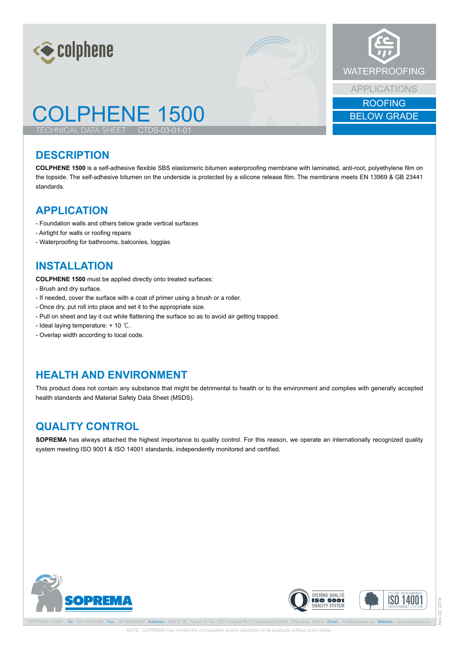



## COLPHENE 1500

TECHNICAL DATA SHEET

#### **DESCRIPTION**

**COLPHENE 1500** is a self-adhesive flexible SBS elastomeric bitumen waterproofing membrane with laminated, anti-root, polyethylene film on the topside. The self-adhesive bitumen on the underside is protected by a silicone release film. The membrane meets EN 13969 & GB 23441 standards.

#### **APPLICATION**

- Foundation walls and others below grade vertical surfaces
- Airtight for walls or roofing repairs
- Waterproofing for bathrooms, balconies, loggias

### **INSTALLATION**

**COLPHENE 1500** must be applied directly onto treated surfaces:

- Brush and dry surface.
- If needed, cover the surface with a coat of primer using a brush or a roller.
- Once dry, put roll into place and set it to the appropriate size.
- Pull on sheet and lay it out while flattening the surface so as to avoid air getting trapped.

CTDS-03-01-01

- Ideal laying temperature: + 10 ℃.
- Overlap width according to local code.

### **HEALTH AND ENVIRONMENT**

This product does not contain any substance that might be detrimental to health or to the environment and complies with generally accepted health standards and Material Safety Data Sheet (MSDS).

#### **QUALITY CONTROL**

**SOPREMA** has always attached the highest importance to quality control. For this reason, we operate an internationally recognized quality system meeting ISO 9001 & ISO 14001 standards, independently monitored and certified.